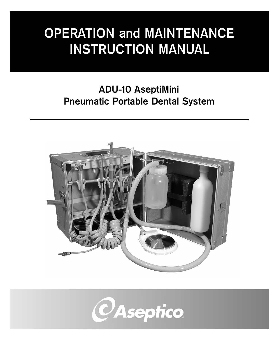# **OPERATION and MAINTENANCE INSTRUCTION MANUAL**

# **ADU-10 AseptiMini Pneumatic Portable Dental System**



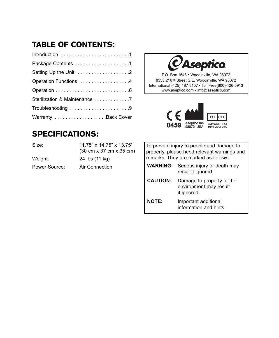# **TABLE OF CONTENTS:**

| Operation Functions 4         |  |
|-------------------------------|--|
|                               |  |
| Sterilization & Maintenance 7 |  |
|                               |  |
|                               |  |
|                               |  |

## **SPECIFICATIONS:**

| Size:         | 11.75" x 14.75" x 13.75"<br>$(30 \text{ cm} \times 37 \text{ cm} \times 35 \text{ cm})$ |
|---------------|-----------------------------------------------------------------------------------------|
| Weight:       | 24 lbs (11 kg)                                                                          |
| Power Source: | Air Connection                                                                          |
|               |                                                                                         |

*CAseptico* 

P.O. Box 1548 • Woodinville, WA 98072 8333 216th Street S.E. Woodinville, WA 98072 International (425) 487-3157 • Toll Free(800) 426-5913 www.aseptico.com • info@aseptico.com



|                 | To prevent injury to people and damage to<br>property, please heed relevant warnings and<br>remarks. They are marked as follows: |
|-----------------|----------------------------------------------------------------------------------------------------------------------------------|
|                 | <b>WARNING:</b> Serious injury or death may<br>result if ignored.                                                                |
| <b>CAUTION:</b> | Damage to property or the<br>environment may result<br>if ignored.                                                               |
| NOTF:           | Important additional<br>information and hints.                                                                                   |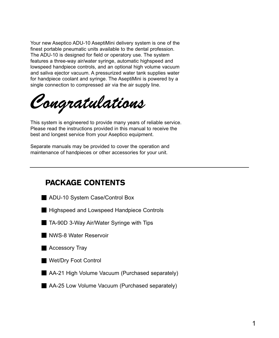Your new Aseptico ADU-10 AseptiMini delivery system is one of the finest portable pneumatic units available to the dental profession. The ADU-10 is designed for field or operatory use. The system features a three-way air/water syringe, automatic highspeed and lowspeed handpiece controls, and an optional high volume vacuum and saliva ejector vacuum. A pressurized water tank supplies water for handpiece coolant and syringe. The AseptiMini is powered by a single connection to compressed air via the air supply line.

This system is engineered to provide many years of reliable service.<br>
Places are all the instructions are wided in this area and to assess the Please read the instructions provided in this manual to receive the best and longest service from your Aseptico equipment.

Separate manuals may be provided to cover the operation and maintenance of handpieces or other accessories for your unit.

### **PACKAGE CONTENTS** PACKAGE CONTENTS

- ADU-10 System Case/Control Box
- **Highspeed and Lowspeed Handpiece Controls**
- TA-90D 3-Way Air/Water Syringe with Tips
- NWS-8 Water Reservoir
- **Accessory Tray**
- **Wet/Dry Foot Control**
- AA-21 High Volume Vacuum (Purchased separately)
- AA-25 Low Volume Vacuum (Purchased separately)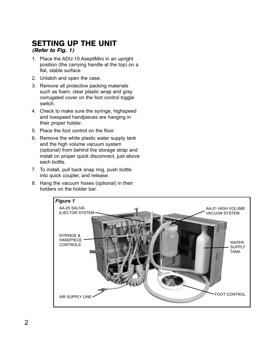### **SETTING UP THE UNIT**  $(Refer to Fig. 1)$

- 1. Place the ADU-10 AseptiMini in an upright position (the carrying handle at the top) on a flat, stable surface.
- 2. Unlatch and open the case.
- 3. Remove all protective packing materials such as foam, clear plastic wrap and gray corrugated cover on the foot control toggle switch.
- 4. Check to make sure the syringe, highspeed and lowspeed handpieces are hanging in their proper holder.
- 5. Place the foot control on the floor.
- 6. Remove the white plastic water supply tank and the high volume vacuum system (optional) from behind the storage strap and install on proper quick disconnect, just above each bottle.
- 7. To install, pull back snap ring, push bottle into quick coupler, and release.
- 8. Hang the vacuum hoses (optional) in their holders on the holder bar.

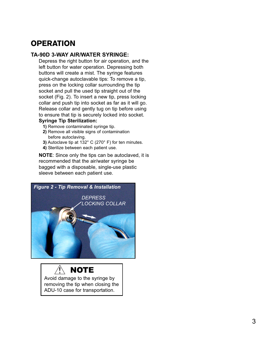# **OPERATION**

#### TA-90D 3-WAY AIR/WATER SYRINGE:

Depress the right button for air operation, and the left button for water operation. Depressing both buttons will create a mist. The syringe features quick-change autoclavable tips: To remove a tip, press on the locking collar surrounding the tip socket and pull the used tip straight out of the socket (Fig. 2). To insert a new tip, press locking collar and push tip into socket as far as it will go. Release collar and gently tug on tip before using to ensure that tip is securely locked into socket.

- **1)** Remove contaminated syringe tip.<br> **2)** Remove all visible signs of contam
	- **2)** Remove all visible signs of contamination before autoclaving.
	- **3)** Autoclave tip at 132° C (270° F) for ten minutes.
	- **4)** Sterilize between each patient use.

**NOTE**: Since only the tips can be autoclaved, it is recommended that the air/water syringe be bagged with a disposable, single-use plastic sleeve between each patient use.



Avoid damage to the syringe by removing the tip when closing the ADU-10 case for transportation. **NOTE**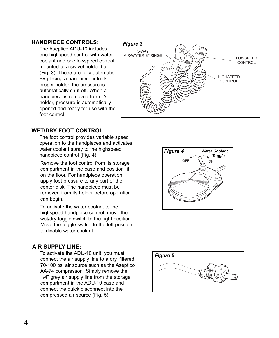#### **HANDPIECE CONTROLS:**

The Aseptico ADU-10 includes one highspeed control with water coolant and one lowspeed control mounted to a swivel holder bar (Fig. 3). These are fully automatic. By placing a handpiece into its proper holder, the pressure is automatically shut off. When a handpiece is removed from it's holder, pressure is automatically opened and ready for use with the foot control.



#### **WET/DRY FOOT CONTROL:**

The foot control provides variable speed operation to the handpieces and activates water coolant spray to the highspeed handpiece control (Fig. 4).

Remove the foot control from its storage compartment in the case and position it on the floor. For handpiece operation, apply foot pressure to any part of the center disk. The handpiece must be removed from its holder before operation can begin.

To activate the water coolant to the highspeed handpiece control, move the wet/dry toggle switch to the right position. Move the toggle switch to the left position to disable water coolant.

#### **AIR SUPPLY LINE:**

To activate the ADU-10 unit, you must connect the air supply line to a dry, filtered, 70-100 psi air source such as the Aseptico AA-74 compressor. Simply remove the 1/4" grey air supply line from the storage compartment in the ADU-10 case and connect the quick disconnect into the compressed air source (Fig. 5).



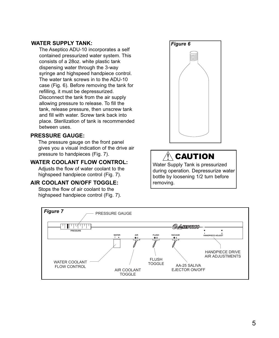#### **WATER SUPPLY TANK:**

The Aseptico ADU-10 incorporates a self contained pressurized water system. This consists of a 28oz. white plastic tank dispensing water through the 3-way syringe and highspeed handpiece control. The water tank screws in to the ADU-10 case (Fig. 6). Before removing the tank for refilling, it must be depressurized. Disconnect the tank from the air supply allowing pressure to release. To fill the tank, release pressure, then unscrew tank and fill with water. Screw tank back into place. Sterilization of tank is recommended between uses.

#### **PRESSURE GAUGE:**

The pressure gauge on the front panel gives you a visual indication of the drive air pressure to handpieces (Fig. 7).

#### **WATER COOLANT FLOW CONTROL:**

Adjusts the flow of water coolant to the highspeed handpiece control (Fig. 7).

**AIR COOLET INTERNATIONAL Stops the flow of air coolant to the** highspeed handpiece control (Fig. 7).



# $\triangle$  CAUTION

Water Supply Tank is pressurized during operation. Depressurize water bottle by loosening 1/2 turn before removing.

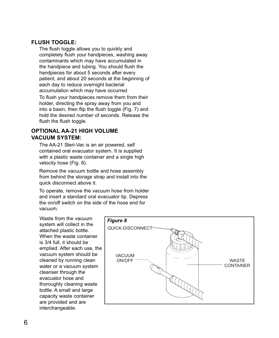#### **FLUSH TOGGLE:**

The flush toggle allows you to quickly and completely flush your handpieces, washing away contaminants which may have accumulated in the handpiece and tubing. You should flush the handpieces for about 5 seconds after every patient, and about 20 seconds at the beginning of each day to reduce overnight bacterial accumulation which may have occurred. To flush your handpieces remove them from their holder, directing the spray away from you and into a basin, then flip the flush toggle (Fig. 7) and hold the desired number of seconds. Release the flush the flush toggle.

# **OPTIONAL AA-21 HIGH VOLUME**

The AA-21 Steri-Vac is an air powered, self contained oral evacuator system. It is supplied with a plastic waste container and a single high velocity hose (Fig. 8).

Remove the vacuum bottle and hose assembly from behind the storage strap and install into the quick disconnect above it.

To operate, remove the vacuum hose from holder and insert a standard oral evacuator tip. Depress the on/off switch on the side of the hose end for vacuum.

Waste from the vacuum system will collect in the attached plastic bottle. When the waste container is 3/4 full, it should be emptied. After each use, the vacuum system should be cleaned by running clean water or a vacuum system cleanser through the evacuator hose and thoroughly cleaning waste bottle. A small and large capacity waste container are provided and are interchangeable.

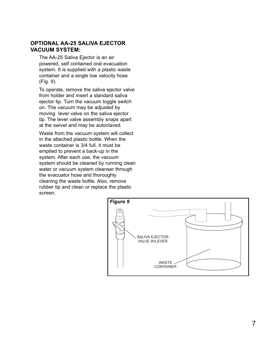#### **OPTIONAL AA-25 SALIVA EJECTOR VACUUM SYSTEM:**

The AA-25 Saliva Ejector is an air powered, self contained oral evacuation system. It is supplied with a plastic waste container and a single low velocity hose (Fig. 9).

To operate, remove the saliva ejector valve from holder and insert a standard saliva ejector tip. Turn the vacuum toggle switch on. The vacuum may be adjusted by moving lever valve on the saliva ejector tip. The lever valve assembly snaps apart at the swivel and may be autoclaved.

Waste from the vacuum system will collect in the attached plastic bottle. When the waste container is 3/4 full, it must be emptied to prevent a back-up in the system. After each use, the vacuum system should be cleaned by running clean water or vacuum system cleanser through the evacuator hose and thoroughly cleaning the waste bottle. Also, remove rubber tip and clean or replace the plastic screen.

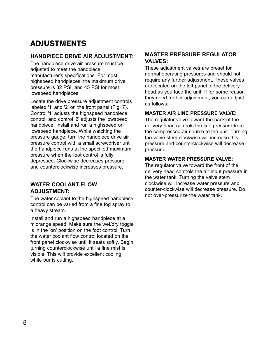# **ADJUSTMENTS**

### HANDPIECE DRIVE AIR ADJUSTMENT:

The handpiece drive air pressure must be<br>The handpiece drive air pressure must be adiusted to meet the handpiece manufacturer's specifications. For most highspeed handpieces, the maximum drive pressure is 32 PSI, and 45 PSI for most lowspeed handpieces.

Locate the drive pressure adjustment controls labeled '1' and '2' on the front panel (Fig. 7). Control '1' adjusts the highspeed handpiece control, and control '2' adjusts the lowspeed handpiece. Install and run a highspeed or lowspeed handpiece. While watching the pressure gauge, turn the handpiece drive air pressure control with a small screwdriver until the handpiece runs at the specified maximum pressure when the foot control is fully depressed. Clockwise decreases pressure and counterclockwise increases pressure.

#### **WATER COOLANT FLOW ADJUSTMENT:**

The water coolant to the highspeed handpiece control can be varied from a fine fog spray to a heavy stream.

Install and run a highspeed handpiece at a midrange speed. Make sure the wet/dry toggle is in the 'on' position on the foot control. Turn the water coolant flow control located on the front panel clockwise until it seats softly. Begin turning counterclockwise until a fine mist is visible. This will provide excellent cooling while bur is cutting.

#### **MASTER PRESSURE REGULATOR VAI VES·**

**VALVES:** These adjustment valves are preset for normal operating pressures and should not require any further adjustment. These valves are located on the left panel of the delivery head as you face the unit. If for some reason they need further adjustment, you can adjust as follows:

**MASTER AIR LINE PRESSURE VALVE:** The regulator valve toward the back of the delivery head controls the line pressure from the compressed air source to the unit. Turning the valve stem clockwise will increase this pressure and counterclockwise will decrease pressure.

#### **MASTER WATER PRESSURE VALVE:**

The regulator valve toward the front of the delivery head controls the air input pressure in the water tank. Turning the valve stem clockwise will increase water pressure and counter-clockwise will decrease pressure. Do not over-pressurize the water tank.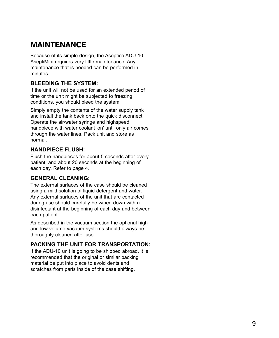# **MAINTENANCE**

Because of its simple design, the Aseptico ADU-10 AseptiMini requires very little maintenance. Any maintenance that is needed can be performed in minutes.

#### **BLEEDING THE SYSTEM:**

**BLEEDING THE SYSTEM:** If the unit will not be used for an extended period of time or the unit might be subjected to freezing conditions, you should bleed the system.

Simply empty the contents of the water supply tank and install the tank back onto the quick disconnect. Operate the air/water syringe and highspeed handpiece with water coolant 'on' until only air comes through the water lines. Pack unit and store as normal.

#### **HANDPIECE FLUSH:**

Flush the handpieces for about 5 seconds after every patient, and about 20 seconds at the beginning of each day. Refer to page 4.

#### **GENERAL CLEANING:**

The external surfaces of the case should be cleaned using a mild solution of liquid detergent and water. Any external surfaces of the unit that are contacted during use should carefully be wiped down with a disinfectant at the beginning of each day and between each patient.

As described in the vacuum section the optional high and low volume vacuum systems should always be thoroughly cleaned after use.

#### **PACKING THE UNIT FOR TRANSPORTATION:**

If the ADU-10 unit is going to be shipped abroad, it is recommended that the original or similar packing material be put into place to avoid dents and scratches from parts inside of the case shifting.